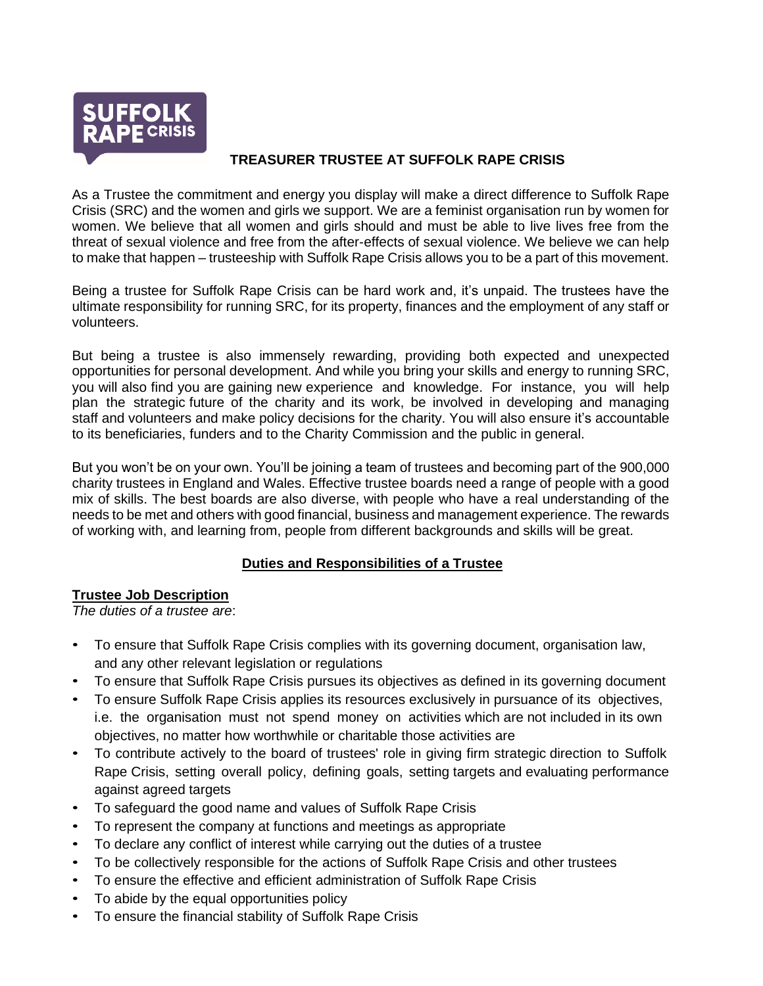

## **TREASURER TRUSTEE AT SUFFOLK RAPE CRISIS**

As a Trustee the commitment and energy you display will make a direct difference to Suffolk Rape Crisis (SRC) and the women and girls we support. We are a feminist organisation run by women for women. We believe that all women and girls should and must be able to live lives free from the threat of sexual violence and free from the after-effects of sexual violence. We believe we can help to make that happen – trusteeship with Suffolk Rape Crisis allows you to be a part of this movement.

Being a trustee for Suffolk Rape Crisis can be hard work and, it's unpaid. The trustees have the ultimate responsibility for running SRC, for its property, finances and the employment of any staff or volunteers.

But being a trustee is also immensely rewarding, providing both expected and unexpected opportunities for personal development. And while you bring your skills and energy to running SRC, you will also find you are gaining new experience and knowledge. For instance, you will help plan the strategic future of the charity and its work, be involved in developing and managing staff and volunteers and make policy decisions for the charity. You will also ensure it's accountable to its beneficiaries, funders and to the Charity Commission and the public in general.

But you won't be on your own. You'll be joining a team of trustees and becoming part of the 900,000 charity trustees in England and Wales. Effective trustee boards need a range of people with a good mix of skills. The best boards are also diverse, with people who have a real understanding of the needs to be met and others with good financial, business and management experience. The rewards of working with, and learning from, people from different backgrounds and skills will be great.

# **Duties and Responsibilities of a Trustee**

#### **Trustee Job Description**

*The duties of a trustee are*:

- To ensure that Suffolk Rape Crisis complies with its governing document, organisation law, and any other relevant legislation or regulations
- To ensure that Suffolk Rape Crisis pursues its objectives as defined in its governing document
- To ensure Suffolk Rape Crisis applies its resources exclusively in pursuance of its objectives, i.e. the organisation must not spend money on activities which are not included in its own objectives, no matter how worthwhile or charitable those activities are
- To contribute actively to the board of trustees' role in giving firm strategic direction to Suffolk Rape Crisis, setting overall policy, defining goals, setting targets and evaluating performance against agreed targets
- To safeguard the good name and values of Suffolk Rape Crisis
- To represent the company at functions and meetings as appropriate
- To declare any conflict of interest while carrying out the duties of a trustee
- To be collectively responsible for the actions of Suffolk Rape Crisis and other trustees
- To ensure the effective and efficient administration of Suffolk Rape Crisis
- To abide by the equal opportunities policy
- To ensure the financial stability of Suffolk Rape Crisis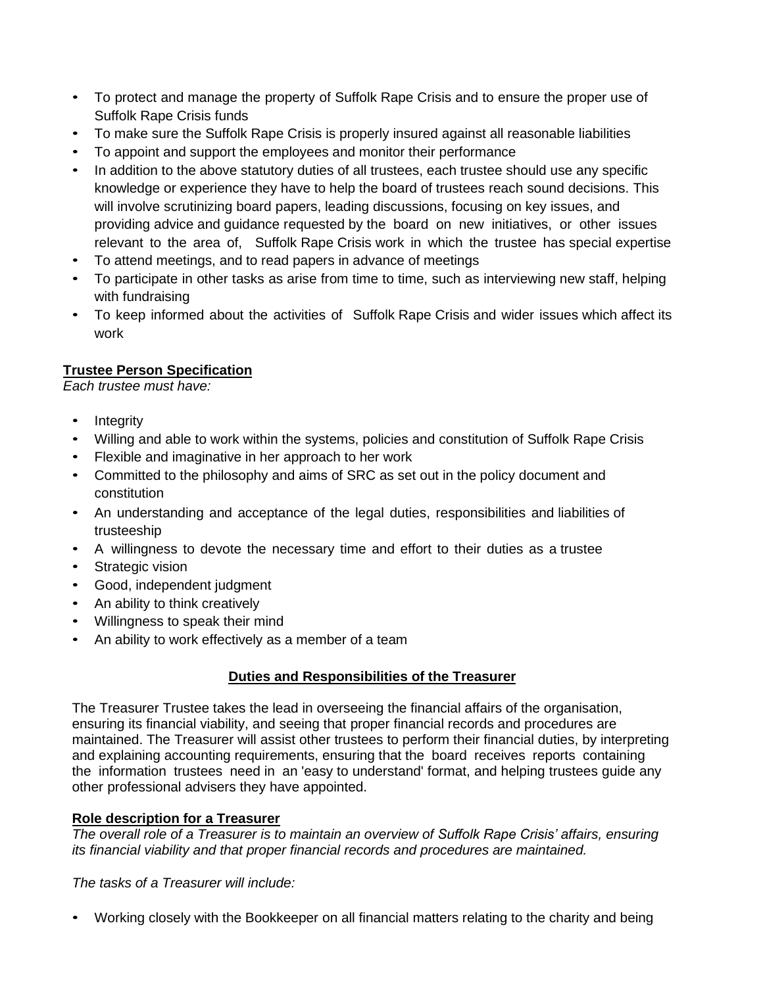- To protect and manage the property of Suffolk Rape Crisis and to ensure the proper use of Suffolk Rape Crisis funds
- To make sure the Suffolk Rape Crisis is properly insured against all reasonable liabilities
- To appoint and support the employees and monitor their performance
- In addition to the above statutory duties of all trustees, each trustee should use any specific knowledge or experience they have to help the board of trustees reach sound decisions. This will involve scrutinizing board papers, leading discussions, focusing on key issues, and providing advice and guidance requested by the board on new initiatives, or other issues relevant to the area of, Suffolk Rape Crisis work in which the trustee has special expertise
- To attend meetings, and to read papers in advance of meetings
- To participate in other tasks as arise from time to time, such as interviewing new staff, helping with fundraising
- To keep informed about the activities of Suffolk Rape Crisis and wider issues which affect its work

# **Trustee Person Specification**

*Each trustee must have:*

- Integrity
- Willing and able to work within the systems, policies and constitution of Suffolk Rape Crisis
- Flexible and imaginative in her approach to her work
- Committed to the philosophy and aims of SRC as set out in the policy document and constitution
- An understanding and acceptance of the legal duties, responsibilities and liabilities of trusteeship
- A willingness to devote the necessary time and effort to their duties as a trustee
- Strategic vision
- Good, independent judgment
- An ability to think creatively
- Willingness to speak their mind
- An ability to work effectively as a member of a team

## **Duties and Responsibilities of the Treasurer**

The Treasurer Trustee takes the lead in overseeing the financial affairs of the organisation, ensuring its financial viability, and seeing that proper financial records and procedures are maintained. The Treasurer will assist other trustees to perform their financial duties, by interpreting and explaining accounting requirements, ensuring that the board receives reports containing the information trustees need in an 'easy to understand' format, and helping trustees guide any other professional advisers they have appointed.

## **Role description for a Treasurer**

*The overall role of a Treasurer is to maintain an overview of Suffolk Rape Crisis' affairs, ensuring its financial viability and that proper financial records and procedures are maintained.*

*The tasks of a Treasurer will include:*

• Working closely with the Bookkeeper on all financial matters relating to the charity and being